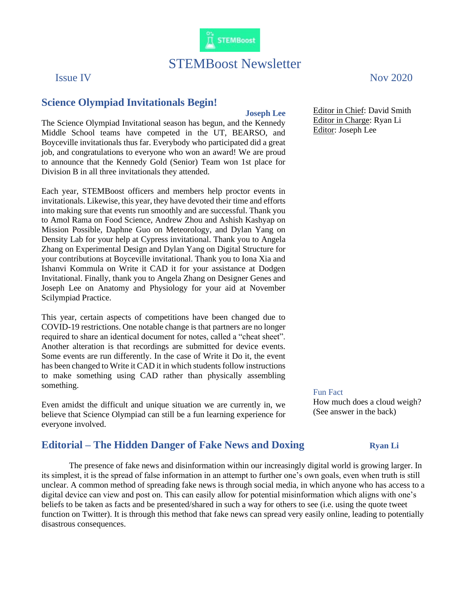

# STEMBoost Newsletter

# **Science Olympiad Invitationals Begin!**

### **Joseph Lee**

The Science Olympiad Invitational season has begun, and the Kennedy Middle School teams have competed in the UT, BEARSO, and Boyceville invitationals thus far. Everybody who participated did a great job, and congratulations to everyone who won an award! We are proud to announce that the Kennedy Gold (Senior) Team won 1st place for Division B in all three invitationals they attended.

Each year, STEMBoost officers and members help proctor events in invitationals. Likewise, this year, they have devoted their time and efforts into making sure that events run smoothly and are successful. Thank you to Amol Rama on Food Science, Andrew Zhou and Ashish Kashyap on Mission Possible, Daphne Guo on Meteorology, and Dylan Yang on Density Lab for your help at Cypress invitational. Thank you to Angela Zhang on Experimental Design and Dylan Yang on Digital Structure for your contributions at Boyceville invitational. Thank you to Iona Xia and Ishanvi Kommula on Write it CAD it for your assistance at Dodgen Invitational. Finally, thank you to Angela Zhang on Designer Genes and Joseph Lee on Anatomy and Physiology for your aid at November Scilympiad Practice.

This year, certain aspects of competitions have been changed due to COVID-19 restrictions. One notable change is that partners are no longer required to share an identical document for notes, called a "cheat sheet". Another alteration is that recordings are submitted for device events. Some events are run differently. In the case of Write it Do it, the event has been changed to Write it CAD it in which students follow instructions to make something using CAD rather than physically assembling something.

Even amidst the difficult and unique situation we are currently in, we believe that Science Olympiad can still be a fun learning experience for everyone involved.

## **Editorial – The Hidden Danger of Fake News and Doxing <b>Ryan Li**

The presence of fake news and disinformation within our increasingly digital world is growing larger. In its simplest, it is the spread of false information in an attempt to further one's own goals, even when truth is still unclear. A common method of spreading fake news is through social media, in which anyone who has access to a digital device can view and post on. This can easily allow for potential misinformation which aligns with one's beliefs to be taken as facts and be presented/shared in such a way for others to see (i.e. using the quote tweet function on Twitter). It is through this method that fake news can spread very easily online, leading to potentially disastrous consequences.

Issue IV Nov 2020

Editor in Chief: David Smith Editor in Charge: Ryan Li Editor: Joseph Lee

Fun Fact How much does a cloud weigh? (See answer in the back)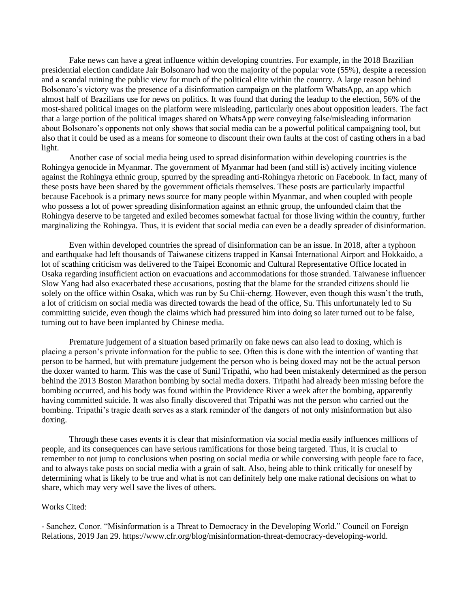Fake news can have a great influence within developing countries. For example, in the 2018 Brazilian presidential election candidate Jair Bolsonaro had won the majority of the popular vote (55%), despite a recession and a scandal ruining the public view for much of the political elite within the country. A large reason behind Bolsonaro's victory was the presence of a disinformation campaign on the platform WhatsApp, an app which almost half of Brazilians use for news on politics. It was found that during the leadup to the election, 56% of the most-shared political images on the platform were misleading, particularly ones about opposition leaders. The fact that a large portion of the political images shared on WhatsApp were conveying false/misleading information about Bolsonaro's opponents not only shows that social media can be a powerful political campaigning tool, but also that it could be used as a means for someone to discount their own faults at the cost of casting others in a bad light.

Another case of social media being used to spread disinformation within developing countries is the Rohingya genocide in Myanmar. The government of Myanmar had been (and still is) actively inciting violence against the Rohingya ethnic group, spurred by the spreading anti-Rohingya rhetoric on Facebook. In fact, many of these posts have been shared by the government officials themselves. These posts are particularly impactful because Facebook is a primary news source for many people within Myanmar, and when coupled with people who possess a lot of power spreading disinformation against an ethnic group, the unfounded claim that the Rohingya deserve to be targeted and exiled becomes somewhat factual for those living within the country, further marginalizing the Rohingya. Thus, it is evident that social media can even be a deadly spreader of disinformation.

Even within developed countries the spread of disinformation can be an issue. In 2018, after a typhoon and earthquake had left thousands of Taiwanese citizens trapped in Kansai International Airport and Hokkaido, a lot of scathing criticism was delivered to the Taipei Economic and Cultural Representative Office located in Osaka regarding insufficient action on evacuations and accommodations for those stranded. Taiwanese influencer Slow Yang had also exacerbated these accusations, posting that the blame for the stranded citizens should lie solely on the office within Osaka, which was run by Su Chii-cherng. However, even though this wasn't the truth, a lot of criticism on social media was directed towards the head of the office, Su. This unfortunately led to Su committing suicide, even though the claims which had pressured him into doing so later turned out to be false, turning out to have been implanted by Chinese media.

Premature judgement of a situation based primarily on fake news can also lead to doxing, which is placing a person's private information for the public to see. Often this is done with the intention of wanting that person to be harmed, but with premature judgement the person who is being doxed may not be the actual person the doxer wanted to harm. This was the case of Sunil Tripathi, who had been mistakenly determined as the person behind the 2013 Boston Marathon bombing by social media doxers. Tripathi had already been missing before the bombing occurred, and his body was found within the Providence River a week after the bombing, apparently having committed suicide. It was also finally discovered that Tripathi was not the person who carried out the bombing. Tripathi's tragic death serves as a stark reminder of the dangers of not only misinformation but also doxing.

Through these cases events it is clear that misinformation via social media easily influences millions of people, and its consequences can have serious ramifications for those being targeted. Thus, it is crucial to remember to not jump to conclusions when posting on social media or while conversing with people face to face, and to always take posts on social media with a grain of salt. Also, being able to think critically for oneself by determining what is likely to be true and what is not can definitely help one make rational decisions on what to share, which may very well save the lives of others.

### Works Cited:

- Sanchez, Conor. "Misinformation is a Threat to Democracy in the Developing World." Council on Foreign Relations, 2019 Jan 29. https://www.cfr.org/blog/misinformation-threat-democracy-developing-world.